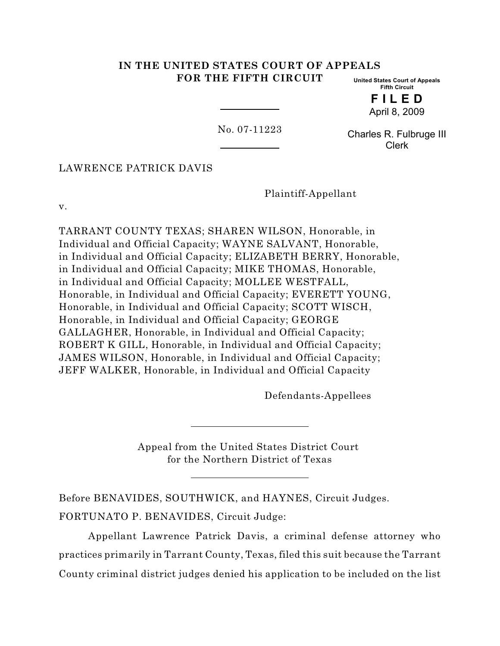# **IN THE UNITED STATES COURT OF APPEALS FOR THE FIFTH CIRCUIT**

**United States Court of Appeals Fifth Circuit**

> **F I L E D** April 8, 2009

No. 07-11223

Charles R. Fulbruge III Clerk

LAWRENCE PATRICK DAVIS

Plaintiff-Appellant

v.

TARRANT COUNTY TEXAS; SHAREN WILSON, Honorable, in Individual and Official Capacity; WAYNE SALVANT, Honorable, in Individual and Official Capacity; ELIZABETH BERRY, Honorable, in Individual and Official Capacity; MIKE THOMAS, Honorable, in Individual and Official Capacity; MOLLEE WESTFALL, Honorable, in Individual and Official Capacity; EVERETT YOUNG, Honorable, in Individual and Official Capacity; SCOTT WISCH, Honorable, in Individual and Official Capacity; GEORGE GALLAGHER, Honorable, in Individual and Official Capacity; ROBERT K GILL, Honorable, in Individual and Official Capacity; JAMES WILSON, Honorable, in Individual and Official Capacity; JEFF WALKER, Honorable, in Individual and Official Capacity

Defendants-Appellees

Appeal from the United States District Court for the Northern District of Texas

Before BENAVIDES, SOUTHWICK, and HAYNES, Circuit Judges. FORTUNATO P. BENAVIDES, Circuit Judge:

Appellant Lawrence Patrick Davis, a criminal defense attorney who practices primarily in Tarrant County, Texas, filed this suit because the Tarrant County criminal district judges denied his application to be included on the list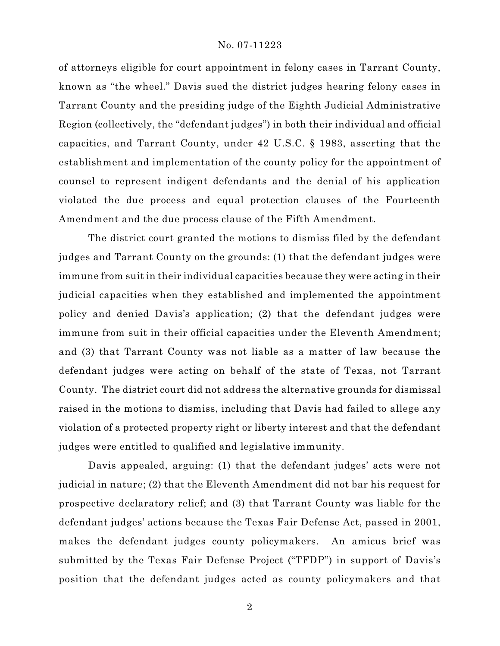of attorneys eligible for court appointment in felony cases in Tarrant County, known as "the wheel." Davis sued the district judges hearing felony cases in Tarrant County and the presiding judge of the Eighth Judicial Administrative Region (collectively, the "defendant judges") in both their individual and official capacities, and Tarrant County, under 42 U.S.C. § 1983, asserting that the establishment and implementation of the county policy for the appointment of counsel to represent indigent defendants and the denial of his application violated the due process and equal protection clauses of the Fourteenth Amendment and the due process clause of the Fifth Amendment.

The district court granted the motions to dismiss filed by the defendant judges and Tarrant County on the grounds: (1) that the defendant judges were immune from suit in their individual capacities because they were acting in their judicial capacities when they established and implemented the appointment policy and denied Davis's application; (2) that the defendant judges were immune from suit in their official capacities under the Eleventh Amendment; and (3) that Tarrant County was not liable as a matter of law because the defendant judges were acting on behalf of the state of Texas, not Tarrant County. The district court did not address the alternative grounds for dismissal raised in the motions to dismiss, including that Davis had failed to allege any violation of a protected property right or liberty interest and that the defendant judges were entitled to qualified and legislative immunity.

Davis appealed, arguing: (1) that the defendant judges' acts were not judicial in nature; (2) that the Eleventh Amendment did not bar his request for prospective declaratory relief; and (3) that Tarrant County was liable for the defendant judges' actions because the Texas Fair Defense Act, passed in 2001, makes the defendant judges county policymakers. An amicus brief was submitted by the Texas Fair Defense Project ("TFDP") in support of Davis's position that the defendant judges acted as county policymakers and that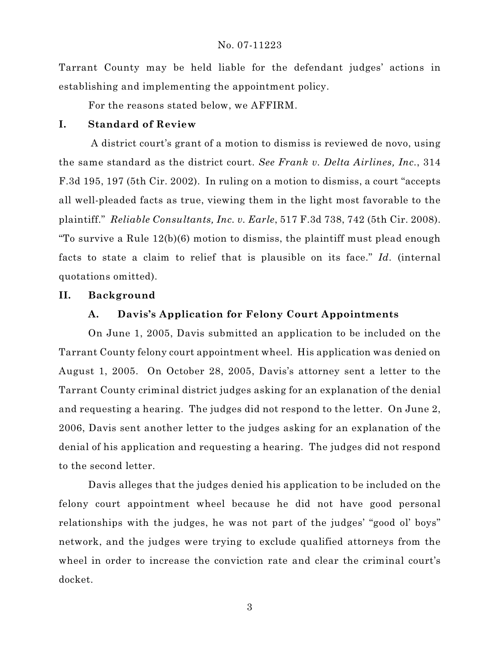Tarrant County may be held liable for the defendant judges' actions in establishing and implementing the appointment policy.

For the reasons stated below, we AFFIRM.

# **I. Standard of Review**

 A district court's grant of a motion to dismiss is reviewed de novo, using the same standard as the district court. *See Frank v. Delta Airlines, Inc.*, 314 F.3d 195, 197 (5th Cir. 2002). In ruling on a motion to dismiss, a court "accepts all well-pleaded facts as true, viewing them in the light most favorable to the plaintiff." *Reliable Consultants, Inc. v. Earle*, 517 F.3d 738, 742 (5th Cir. 2008). "To survive a Rule 12(b)(6) motion to dismiss, the plaintiff must plead enough facts to state a claim to relief that is plausible on its face." *Id.* (internal quotations omitted).

# **II. Background**

# **A. Davis's Application for Felony Court Appointments**

On June 1, 2005, Davis submitted an application to be included on the Tarrant County felony court appointment wheel. His application was denied on August 1, 2005. On October 28, 2005, Davis's attorney sent a letter to the Tarrant County criminal district judges asking for an explanation of the denial and requesting a hearing. The judges did not respond to the letter. On June 2, 2006, Davis sent another letter to the judges asking for an explanation of the denial of his application and requesting a hearing. The judges did not respond to the second letter.

Davis alleges that the judges denied his application to be included on the felony court appointment wheel because he did not have good personal relationships with the judges, he was not part of the judges' "good ol' boys" network, and the judges were trying to exclude qualified attorneys from the wheel in order to increase the conviction rate and clear the criminal court's docket.

3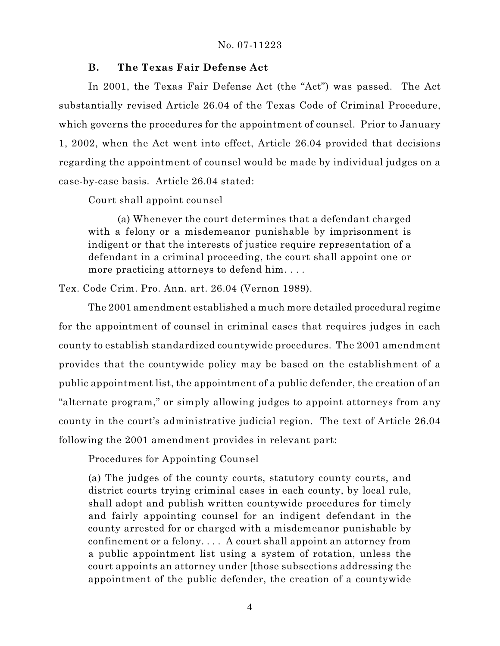# **B. The Texas Fair Defense Act**

In 2001, the Texas Fair Defense Act (the "Act") was passed. The Act substantially revised Article 26.04 of the Texas Code of Criminal Procedure, which governs the procedures for the appointment of counsel. Prior to January 1, 2002, when the Act went into effect, Article 26.04 provided that decisions regarding the appointment of counsel would be made by individual judges on a case-by-case basis. Article 26.04 stated:

Court shall appoint counsel

(a) Whenever the court determines that a defendant charged with a felony or a misdemeanor punishable by imprisonment is indigent or that the interests of justice require representation of a defendant in a criminal proceeding, the court shall appoint one or more practicing attorneys to defend him. . . .

Tex. Code Crim. Pro. Ann. art. 26.04 (Vernon 1989).

The 2001 amendment established a much more detailed procedural regime for the appointment of counsel in criminal cases that requires judges in each county to establish standardized countywide procedures. The 2001 amendment provides that the countywide policy may be based on the establishment of a public appointment list, the appointment of a public defender, the creation of an "alternate program," or simply allowing judges to appoint attorneys from any county in the court's administrative judicial region. The text of Article 26.04 following the 2001 amendment provides in relevant part:

Procedures for Appointing Counsel

(a) The judges of the county courts, statutory county courts, and district courts trying criminal cases in each county, by local rule, shall adopt and publish written countywide procedures for timely and fairly appointing counsel for an indigent defendant in the county arrested for or charged with a misdemeanor punishable by confinement or a felony. . . . A court shall appoint an attorney from a public appointment list using a system of rotation, unless the court appoints an attorney under [those subsections addressing the appointment of the public defender, the creation of a countywide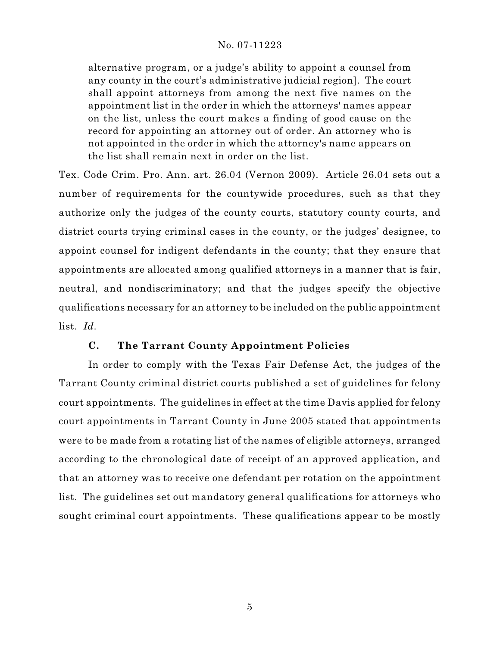alternative program, or a judge's ability to appoint a counsel from any county in the court's administrative judicial region]. The court shall appoint attorneys from among the next five names on the appointment list in the order in which the attorneys' names appear on the list, unless the court makes a finding of good cause on the record for appointing an attorney out of order. An attorney who is not appointed in the order in which the attorney's name appears on the list shall remain next in order on the list.

Tex. Code Crim. Pro. Ann. art. 26.04 (Vernon 2009). Article 26.04 sets out a number of requirements for the countywide procedures, such as that they authorize only the judges of the county courts, statutory county courts, and district courts trying criminal cases in the county, or the judges' designee, to appoint counsel for indigent defendants in the county; that they ensure that appointments are allocated among qualified attorneys in a manner that is fair, neutral, and nondiscriminatory; and that the judges specify the objective qualifications necessary for an attorney to be included on the public appointment list. *Id.*

# **C. The Tarrant County Appointment Policies**

In order to comply with the Texas Fair Defense Act, the judges of the Tarrant County criminal district courts published a set of guidelines for felony court appointments. The guidelines in effect at the time Davis applied for felony court appointments in Tarrant County in June 2005 stated that appointments were to be made from a rotating list of the names of eligible attorneys, arranged according to the chronological date of receipt of an approved application, and that an attorney was to receive one defendant per rotation on the appointment list. The guidelines set out mandatory general qualifications for attorneys who sought criminal court appointments. These qualifications appear to be mostly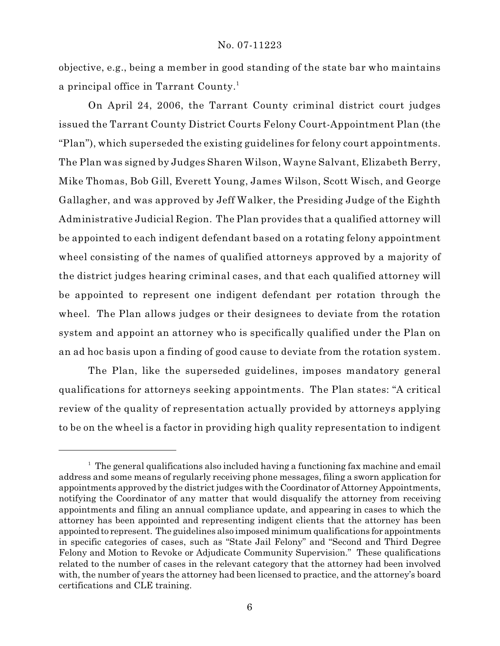objective, e.g., being a member in good standing of the state bar who maintains a principal office in Tarrant County. 1

On April 24, 2006, the Tarrant County criminal district court judges issued the Tarrant County District Courts Felony Court-Appointment Plan (the "Plan"), which superseded the existing guidelines for felony court appointments. The Plan was signed by Judges Sharen Wilson, Wayne Salvant, Elizabeth Berry, Mike Thomas, Bob Gill, Everett Young, James Wilson, Scott Wisch, and George Gallagher, and was approved by Jeff Walker, the Presiding Judge of the Eighth Administrative Judicial Region. The Plan provides that a qualified attorney will be appointed to each indigent defendant based on a rotating felony appointment wheel consisting of the names of qualified attorneys approved by a majority of the district judges hearing criminal cases, and that each qualified attorney will be appointed to represent one indigent defendant per rotation through the wheel. The Plan allows judges or their designees to deviate from the rotation system and appoint an attorney who is specifically qualified under the Plan on an ad hoc basis upon a finding of good cause to deviate from the rotation system.

The Plan, like the superseded guidelines, imposes mandatory general qualifications for attorneys seeking appointments. The Plan states: "A critical review of the quality of representation actually provided by attorneys applying to be on the wheel is a factor in providing high quality representation to indigent

 $1$  The general qualifications also included having a functioning fax machine and email address and some means of regularly receiving phone messages, filing a sworn application for appointments approved by the district judges with the Coordinator of Attorney Appointments, notifying the Coordinator of any matter that would disqualify the attorney from receiving appointments and filing an annual compliance update, and appearing in cases to which the attorney has been appointed and representing indigent clients that the attorney has been appointed to represent. The guidelines also imposed minimum qualifications for appointments in specific categories of cases, such as "State Jail Felony" and "Second and Third Degree Felony and Motion to Revoke or Adjudicate Community Supervision." These qualifications related to the number of cases in the relevant category that the attorney had been involved with, the number of years the attorney had been licensed to practice, and the attorney's board certifications and CLE training.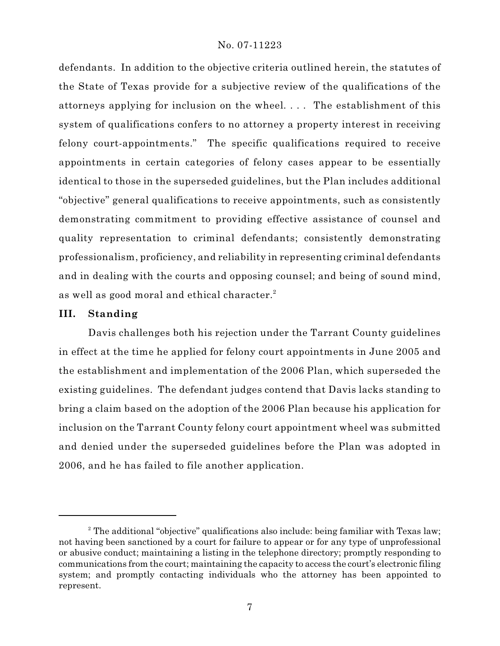defendants. In addition to the objective criteria outlined herein, the statutes of the State of Texas provide for a subjective review of the qualifications of the attorneys applying for inclusion on the wheel. . . . The establishment of this system of qualifications confers to no attorney a property interest in receiving felony court-appointments." The specific qualifications required to receive appointments in certain categories of felony cases appear to be essentially identical to those in the superseded guidelines, but the Plan includes additional "objective" general qualifications to receive appointments, such as consistently demonstrating commitment to providing effective assistance of counsel and quality representation to criminal defendants; consistently demonstrating professionalism, proficiency, and reliability in representing criminal defendants and in dealing with the courts and opposing counsel; and being of sound mind, as well as good moral and ethical character. $^{\text{2}}$ 

### **III. Standing**

Davis challenges both his rejection under the Tarrant County guidelines in effect at the time he applied for felony court appointments in June 2005 and the establishment and implementation of the 2006 Plan, which superseded the existing guidelines. The defendant judges contend that Davis lacks standing to bring a claim based on the adoption of the 2006 Plan because his application for inclusion on the Tarrant County felony court appointment wheel was submitted and denied under the superseded guidelines before the Plan was adopted in 2006, and he has failed to file another application.

 $\alpha$ <sup>2</sup> The additional "objective" qualifications also include: being familiar with Texas law; not having been sanctioned by a court for failure to appear or for any type of unprofessional or abusive conduct; maintaining a listing in the telephone directory; promptly responding to communications from the court; maintaining the capacity to access the court's electronic filing system; and promptly contacting individuals who the attorney has been appointed to represent.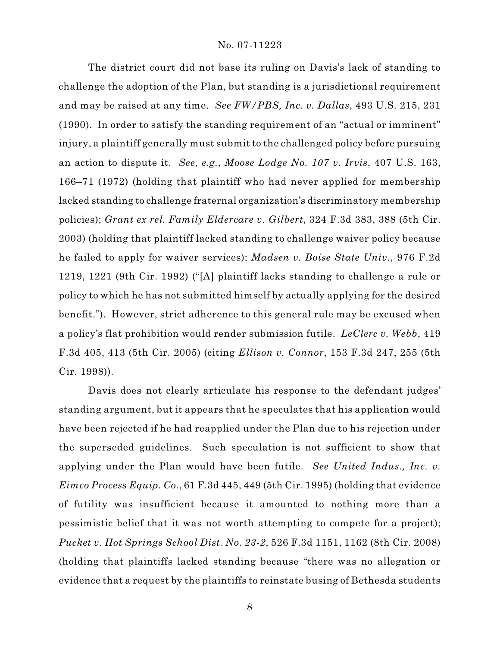The district court did not base its ruling on Davis's lack of standing to challenge the adoption of the Plan, but standing is a jurisdictional requirement and may be raised at any time. *See FW/PBS, Inc. v. Dallas*, 493 U.S. 215, 231 (1990). In order to satisfy the standing requirement of an "actual or imminent" injury, a plaintiff generally must submit to the challenged policy before pursuing an action to dispute it. *See, e.g.*, *Moose Lodge No. 107 v. Irvis*, 407 U.S. 163, 166–71 (1972) (holding that plaintiff who had never applied for membership lacked standing to challenge fraternal organization's discriminatory membership policies); *Grant ex rel. Family Eldercare v. Gilbert*, 324 F.3d 383, 388 (5th Cir. 2003) (holding that plaintiff lacked standing to challenge waiver policy because he failed to apply for waiver services); *Madsen v. Boise State Univ.*, 976 F.2d 1219, 1221 (9th Cir. 1992) ("[A] plaintiff lacks standing to challenge a rule or policy to which he has not submitted himself by actually applying for the desired benefit."). However, strict adherence to this general rule may be excused when a policy's flat prohibition would render submission futile. *LeClerc v. Webb*, 419 F.3d 405, 413 (5th Cir. 2005) (citing *Ellison v. Connor*, 153 F.3d 247, 255 (5th Cir. 1998)).

Davis does not clearly articulate his response to the defendant judges' standing argument, but it appears that he speculates that his application would have been rejected if he had reapplied under the Plan due to his rejection under the superseded guidelines. Such speculation is not sufficient to show that applying under the Plan would have been futile. *See United Indus., Inc. v. Eimco Process Equip. Co.*, 61 F.3d 445, 449 (5th Cir. 1995) (holding that evidence of futility was insufficient because it amounted to nothing more than a pessimistic belief that it was not worth attempting to compete for a project); *Pucket v. Hot Springs School Dist. No. 23-2*, 526 F.3d 1151, 1162 (8th Cir. 2008) (holding that plaintiffs lacked standing because "there was no allegation or evidence that a request by the plaintiffs to reinstate busing of Bethesda students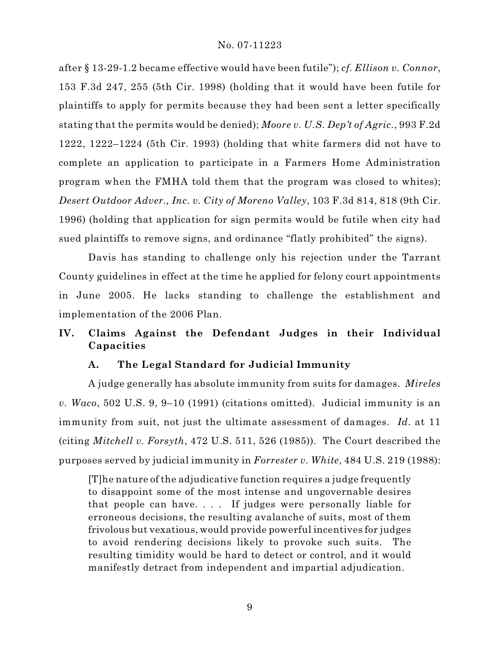after § 13-29-1.2 became effective would have been futile"); *cf. Ellison v. Connor*, 153 F.3d 247, 255 (5th Cir. 1998) (holding that it would have been futile for plaintiffs to apply for permits because they had been sent a letter specifically stating that the permits would be denied); *Moore v. U.S. Dep't of Agric.*, 993 F.2d 1222, 1222–1224 (5th Cir. 1993) (holding that white farmers did not have to complete an application to participate in a Farmers Home Administration program when the FMHA told them that the program was closed to whites); *Desert Outdoor Adver., Inc. v. City of Moreno Valley*, 103 F.3d 814, 818 (9th Cir. 1996) (holding that application for sign permits would be futile when city had sued plaintiffs to remove signs, and ordinance "flatly prohibited" the signs).

Davis has standing to challenge only his rejection under the Tarrant County guidelines in effect at the time he applied for felony court appointments in June 2005. He lacks standing to challenge the establishment and implementation of the 2006 Plan.

# **IV. Claims Against the Defendant Judges in their Individual Capacities**

# **A. The Legal Standard for Judicial Immunity**

A judge generally has absolute immunity from suits for damages. *Mireles v. Waco*, 502 U.S. 9, 9–10 (1991) (citations omitted). Judicial immunity is an immunity from suit, not just the ultimate assessment of damages. *Id.* at 11 (citing *Mitchell v. Forsyth*, 472 U.S. 511, 526 (1985)). The Court described the purposes served by judicial immunity in *Forrester v. White*, 484 U.S. 219 (1988):

[T]he nature of the adjudicative function requires a judge frequently to disappoint some of the most intense and ungovernable desires that people can have. . . . If judges were personally liable for erroneous decisions, the resulting avalanche of suits, most of them frivolous but vexatious, would provide powerful incentives for judges to avoid rendering decisions likely to provoke such suits. The resulting timidity would be hard to detect or control, and it would manifestly detract from independent and impartial adjudication.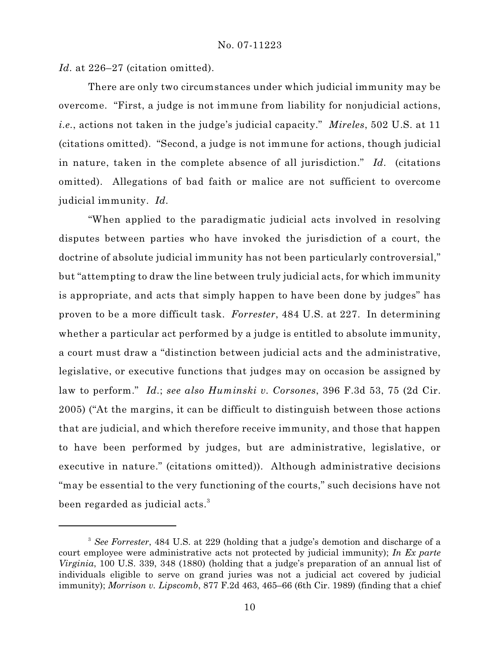Id. at 226–27 (citation omitted).

There are only two circumstances under which judicial immunity may be overcome. "First, a judge is not immune from liability for nonjudicial actions, *i.e.*, actions not taken in the judge's judicial capacity." *Mireles*, 502 U.S. at 11 (citations omitted). "Second, a judge is not immune for actions, though judicial in nature, taken in the complete absence of all jurisdiction." *Id.* (citations omitted). Allegations of bad faith or malice are not sufficient to overcome judicial immunity. *Id.*

"When applied to the paradigmatic judicial acts involved in resolving disputes between parties who have invoked the jurisdiction of a court, the doctrine of absolute judicial immunity has not been particularly controversial," but "attempting to draw the line between truly judicial acts, for which immunity is appropriate, and acts that simply happen to have been done by judges" has proven to be a more difficult task. *Forrester*, 484 U.S. at 227. In determining whether a particular act performed by a judge is entitled to absolute immunity, a court must draw a "distinction between judicial acts and the administrative, legislative, or executive functions that judges may on occasion be assigned by law to perform." *Id.*; *see also Huminski v. Corsones*, 396 F.3d 53, 75 (2d Cir. 2005) ("At the margins, it can be difficult to distinguish between those actions that are judicial, and which therefore receive immunity, and those that happen to have been performed by judges, but are administrative, legislative, or executive in nature." (citations omitted)). Although administrative decisions "may be essential to the very functioning of the courts," such decisions have not been regarded as judicial acts.<sup>3</sup>

<sup>&</sup>lt;sup>3</sup> See Forrester, 484 U.S. at 229 (holding that a judge's demotion and discharge of a court employee were administrative acts not protected by judicial immunity); *In Ex parte Virginia*, 100 U.S. 339, 348 (1880) (holding that a judge's preparation of an annual list of individuals eligible to serve on grand juries was not a judicial act covered by judicial immunity); *Morrison v. Lipscomb*, 877 F.2d 463, 465–66 (6th Cir. 1989) (finding that a chief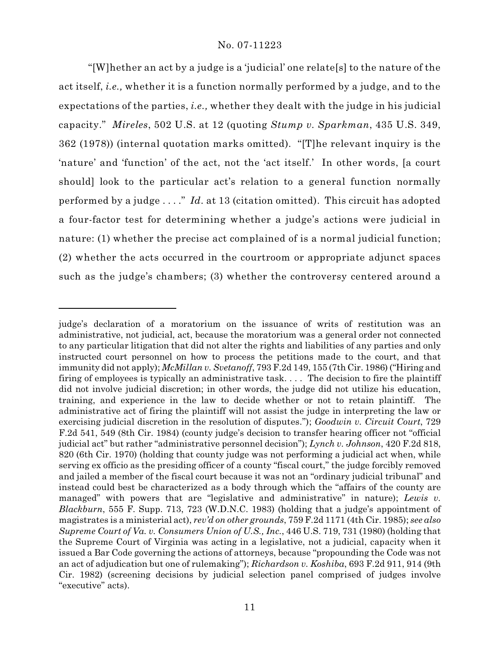"[W]hether an act by a judge is a 'judicial' one relate[s] to the nature of the act itself, *i.e.,* whether it is a function normally performed by a judge, and to the expectations of the parties, *i.e.,* whether they dealt with the judge in his judicial capacity." *Mireles*, 502 U.S. at 12 (quoting *Stump v. Sparkman*, 435 U.S. 349, 362 (1978)) (internal quotation marks omitted). "[T]he relevant inquiry is the 'nature' and 'function' of the act, not the 'act itself.' In other words, [a court should] look to the particular act's relation to a general function normally performed by a judge . . . ." *Id.* at 13 (citation omitted). This circuit has adopted a four-factor test for determining whether a judge's actions were judicial in nature: (1) whether the precise act complained of is a normal judicial function; (2) whether the acts occurred in the courtroom or appropriate adjunct spaces such as the judge's chambers; (3) whether the controversy centered around a

judge's declaration of a moratorium on the issuance of writs of restitution was an administrative, not judicial, act, because the moratorium was a general order not connected to any particular litigation that did not alter the rights and liabilities of any parties and only instructed court personnel on how to process the petitions made to the court, and that immunity did not apply); *McMillan v. Svetanoff*, 793 F.2d 149, 155 (7th Cir. 1986) ("Hiring and firing of employees is typically an administrative task. . . . The decision to fire the plaintiff did not involve judicial discretion; in other words, the judge did not utilize his education, training, and experience in the law to decide whether or not to retain plaintiff. The administrative act of firing the plaintiff will not assist the judge in interpreting the law or exercising judicial discretion in the resolution of disputes."); *Goodwin v. Circuit Court*, 729 F.2d 541, 549 (8th Cir. 1984) (county judge's decision to transfer hearing officer not "official judicial act" but rather "administrative personnel decision"); *Lynch v. Johnson*, 420 F.2d 818, 820 (6th Cir. 1970) (holding that county judge was not performing a judicial act when, while serving ex officio as the presiding officer of a county "fiscal court," the judge forcibly removed and jailed a member of the fiscal court because it was not an "ordinary judicial tribunal" and instead could best be characterized as a body through which the "affairs of the county are managed" with powers that are "legislative and administrative" in nature); *Lewis v. Blackburn*, 555 F. Supp. 713, 723 (W.D.N.C. 1983) (holding that a judge's appointment of magistrates is a ministerial act), *rev'd on other grounds*, 759 F.2d 1171 (4th Cir. 1985); *see also Supreme Court of Va. v. Consumers Union of U.S., Inc.*, 446 U.S. 719, 731 (1980) (holding that the Supreme Court of Virginia was acting in a legislative, not a judicial, capacity when it issued a Bar Code governing the actions of attorneys, because "propounding the Code was not an act of adjudication but one of rulemaking"); *Richardson v. Koshiba*, 693 F.2d 911, 914 (9th Cir. 1982) (screening decisions by judicial selection panel comprised of judges involve "executive" acts).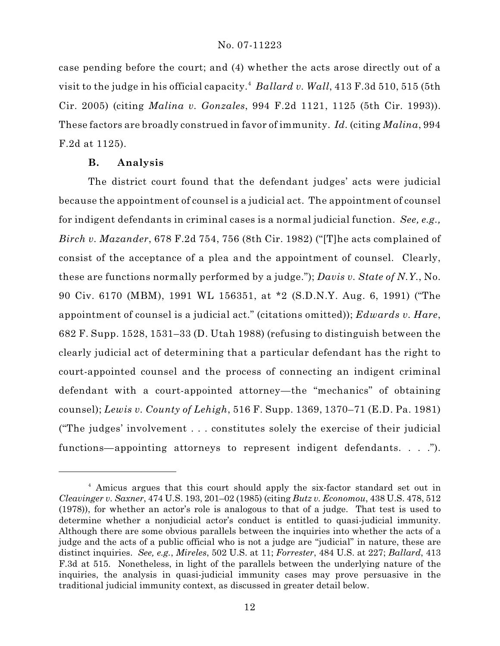case pending before the court; and (4) whether the acts arose directly out of a visit to the judge in his official capacity. *Ballard v. Wall*, 413 F.3d 510, 515 (5th <sup>4</sup> Cir. 2005) (citing *Malina v. Gonzales*, 994 F.2d 1121, 1125 (5th Cir. 1993)). These factors are broadly construed in favor of immunity. *Id.* (citing *Malina*, 994 F.2d at 1125).

### **B. Analysis**

The district court found that the defendant judges' acts were judicial because the appointment of counsel is a judicial act. The appointment of counsel for indigent defendants in criminal cases is a normal judicial function. *See, e.g., Birch v. Mazander*, 678 F.2d 754, 756 (8th Cir. 1982) ("[T]he acts complained of consist of the acceptance of a plea and the appointment of counsel. Clearly, these are functions normally performed by a judge."); *Davis v. State of N.Y.*, No. 90 Civ. 6170 (MBM), 1991 WL 156351, at \*2 (S.D.N.Y. Aug. 6, 1991) ("The appointment of counsel is a judicial act." (citations omitted)); *Edwards v. Hare*, 682 F. Supp. 1528, 1531–33 (D. Utah 1988) (refusing to distinguish between the clearly judicial act of determining that a particular defendant has the right to court-appointed counsel and the process of connecting an indigent criminal defendant with a court-appointed attorney—the "mechanics" of obtaining counsel); *Lewis v. County of Lehigh*, 516 F. Supp. 1369, 1370–71 (E.D. Pa. 1981) ("The judges' involvement . . . constitutes solely the exercise of their judicial functions—appointing attorneys to represent indigent defendants. . . .").

<sup>&</sup>lt;sup>4</sup> Amicus argues that this court should apply the six-factor standard set out in *Cleavinger v. Saxner*, 474 U.S. 193, 201–02 (1985) (citing *Butz v. Economou*, 438 U.S. 478, 512 (1978)), for whether an actor's role is analogous to that of a judge. That test is used to determine whether a nonjudicial actor's conduct is entitled to quasi-judicial immunity. Although there are some obvious parallels between the inquiries into whether the acts of a judge and the acts of a public official who is not a judge are "judicial" in nature, these are distinct inquiries. *See, e.g.*, *Mireles*, 502 U.S. at 11; *Forrester*, 484 U.S. at 227; *Ballard*, 413 F.3d at 515. Nonetheless, in light of the parallels between the underlying nature of the inquiries, the analysis in quasi-judicial immunity cases may prove persuasive in the traditional judicial immunity context, as discussed in greater detail below.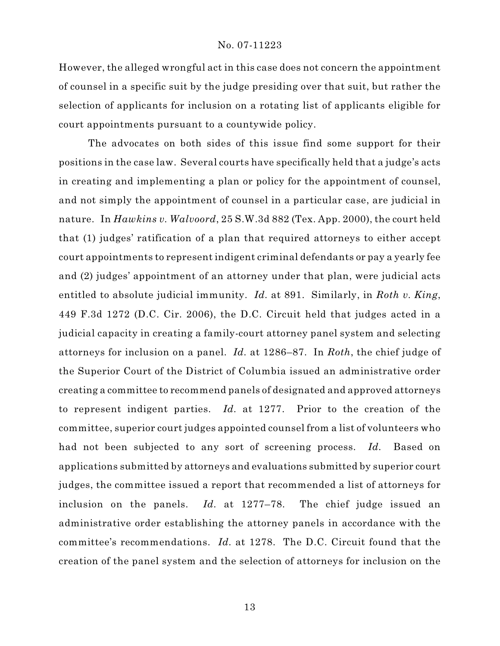However, the alleged wrongful act in this case does not concern the appointment of counsel in a specific suit by the judge presiding over that suit, but rather the selection of applicants for inclusion on a rotating list of applicants eligible for court appointments pursuant to a countywide policy.

The advocates on both sides of this issue find some support for their positions in the case law. Several courts have specifically held that a judge's acts in creating and implementing a plan or policy for the appointment of counsel, and not simply the appointment of counsel in a particular case, are judicial in nature. In *Hawkins v. Walvoord*, 25 S.W.3d 882 (Tex. App. 2000), the court held that (1) judges' ratification of a plan that required attorneys to either accept court appointments to represent indigent criminal defendants or pay a yearly fee and (2) judges' appointment of an attorney under that plan, were judicial acts entitled to absolute judicial immunity. *Id.* at 891. Similarly, in *Roth v. King*, 449 F.3d 1272 (D.C. Cir. 2006), the D.C. Circuit held that judges acted in a judicial capacity in creating a family-court attorney panel system and selecting attorneys for inclusion on a panel. *Id.* at 1286–87. In *Roth*, the chief judge of the Superior Court of the District of Columbia issued an administrative order creating a committee to recommend panels of designated and approved attorneys to represent indigent parties. *Id.* at 1277. Prior to the creation of the committee, superior court judges appointed counsel from a list of volunteers who had not been subjected to any sort of screening process. *Id.* Based on applications submitted by attorneys and evaluations submitted by superior court judges, the committee issued a report that recommended a list of attorneys for inclusion on the panels. *Id.* at 1277–78. The chief judge issued an administrative order establishing the attorney panels in accordance with the committee's recommendations. *Id.* at 1278. The D.C. Circuit found that the creation of the panel system and the selection of attorneys for inclusion on the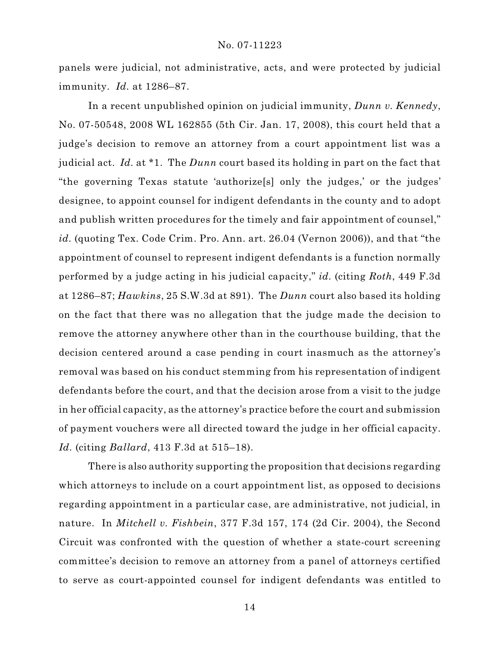panels were judicial, not administrative, acts, and were protected by judicial immunity. *Id.* at 1286–87.

In a recent unpublished opinion on judicial immunity, *Dunn v. Kennedy*, No. 07-50548, 2008 WL 162855 (5th Cir. Jan. 17, 2008), this court held that a judge's decision to remove an attorney from a court appointment list was a judicial act. *Id.* at \*1. The *Dunn* court based its holding in part on the fact that "the governing Texas statute 'authorize[s] only the judges,' or the judges' designee, to appoint counsel for indigent defendants in the county and to adopt and publish written procedures for the timely and fair appointment of counsel," *id.* (quoting Tex. Code Crim. Pro. Ann. art. 26.04 (Vernon 2006)), and that "the appointment of counsel to represent indigent defendants is a function normally performed by a judge acting in his judicial capacity," *id.* (citing *Roth*, 449 F.3d at 1286–87; *Hawkins*, 25 S.W.3d at 891). The *Dunn* court also based its holding on the fact that there was no allegation that the judge made the decision to remove the attorney anywhere other than in the courthouse building, that the decision centered around a case pending in court inasmuch as the attorney's removal was based on his conduct stemming from his representation of indigent defendants before the court, and that the decision arose from a visit to the judge in her official capacity, as the attorney's practice before the court and submission of payment vouchers were all directed toward the judge in her official capacity. *Id.* (citing *Ballard*, 413 F.3d at 515–18).

There is also authority supporting the proposition that decisions regarding which attorneys to include on a court appointment list, as opposed to decisions regarding appointment in a particular case, are administrative, not judicial, in nature. In *Mitchell v. Fishbein*, 377 F.3d 157, 174 (2d Cir. 2004), the Second Circuit was confronted with the question of whether a state-court screening committee's decision to remove an attorney from a panel of attorneys certified to serve as court-appointed counsel for indigent defendants was entitled to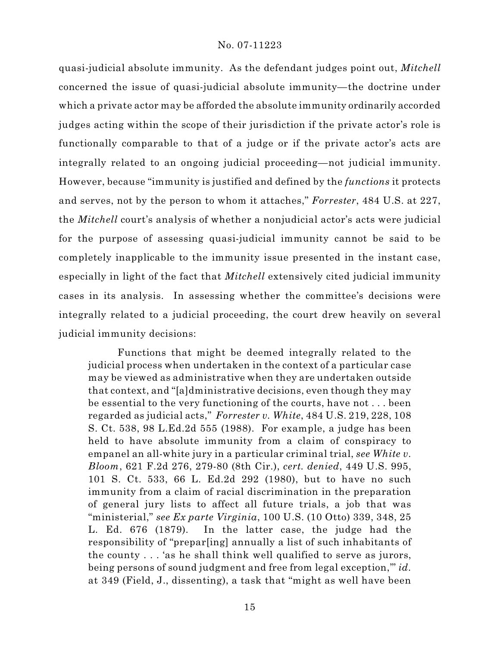quasi-judicial absolute immunity. As the defendant judges point out, *Mitchell* concerned the issue of quasi-judicial absolute immunity—the doctrine under which a private actor may be afforded the absolute immunity ordinarily accorded judges acting within the scope of their jurisdiction if the private actor's role is functionally comparable to that of a judge or if the private actor's acts are integrally related to an ongoing judicial proceeding—not judicial immunity. However, because "immunity is justified and defined by the *functions* it protects and serves, not by the person to whom it attaches," *Forrester*, 484 U.S. at 227, the *Mitchell* court's analysis of whether a nonjudicial actor's acts were judicial for the purpose of assessing quasi-judicial immunity cannot be said to be completely inapplicable to the immunity issue presented in the instant case, especially in light of the fact that *Mitchell* extensively cited judicial immunity cases in its analysis. In assessing whether the committee's decisions were integrally related to a judicial proceeding, the court drew heavily on several judicial immunity decisions:

Functions that might be deemed integrally related to the judicial process when undertaken in the context of a particular case may be viewed as administrative when they are undertaken outside that context, and "[a]dministrative decisions, even though they may be essential to the very functioning of the courts, have not . . . been regarded as judicial acts," *Forrester v. White*, 484 U.S. 219, 228, 108 S. Ct. 538, 98 L.Ed.2d 555 (1988). For example, a judge has been held to have absolute immunity from a claim of conspiracy to empanel an all-white jury in a particular criminal trial, *see White v. Bloom*, 621 F.2d 276, 279-80 (8th Cir.), *cert. denied*, 449 U.S. 995, 101 S. Ct. 533, 66 L. Ed.2d 292 (1980), but to have no such immunity from a claim of racial discrimination in the preparation of general jury lists to affect all future trials, a job that was "ministerial," *see Ex parte Virginia*, 100 U.S. (10 Otto) 339, 348, 25 L. Ed. 676 (1879). In the latter case, the judge had the responsibility of "prepar[ing] annually a list of such inhabitants of the county . . . 'as he shall think well qualified to serve as jurors, being persons of sound judgment and free from legal exception,'" *id.* at 349 (Field, J., dissenting), a task that "might as well have been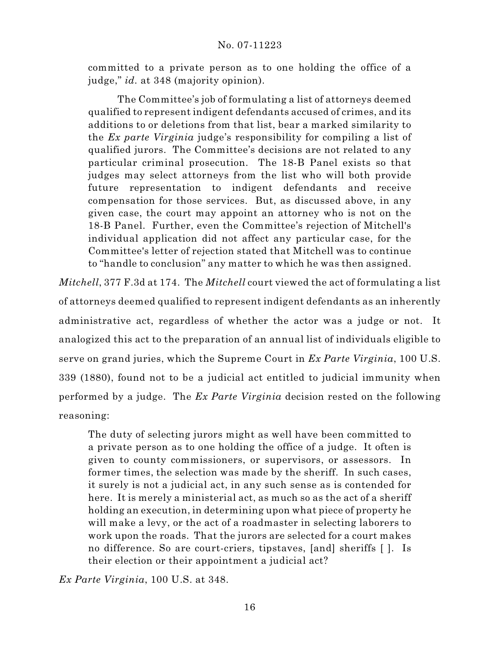committed to a private person as to one holding the office of a judge," *id.* at 348 (majority opinion).

The Committee's job of formulating a list of attorneys deemed qualified to represent indigent defendants accused of crimes, and its additions to or deletions from that list, bear a marked similarity to the *Ex parte Virginia* judge's responsibility for compiling a list of qualified jurors. The Committee's decisions are not related to any particular criminal prosecution. The 18-B Panel exists so that judges may select attorneys from the list who will both provide future representation to indigent defendants and receive compensation for those services. But, as discussed above, in any given case, the court may appoint an attorney who is not on the 18-B Panel. Further, even the Committee's rejection of Mitchell's individual application did not affect any particular case, for the Committee's letter of rejection stated that Mitchell was to continue to "handle to conclusion" any matter to which he was then assigned.

*Mitchell*, 377 F.3d at 174. The *Mitchell* court viewed the act of formulating a list of attorneys deemed qualified to represent indigent defendants as an inherently administrative act, regardless of whether the actor was a judge or not. It analogized this act to the preparation of an annual list of individuals eligible to serve on grand juries, which the Supreme Court in *Ex Parte Virginia*, 100 U.S. 339 (1880), found not to be a judicial act entitled to judicial immunity when performed by a judge. The *Ex Parte Virginia* decision rested on the following reasoning:

The duty of selecting jurors might as well have been committed to a private person as to one holding the office of a judge. It often is given to county commissioners, or supervisors, or assessors. In former times, the selection was made by the sheriff. In such cases, it surely is not a judicial act, in any such sense as is contended for here. It is merely a ministerial act, as much so as the act of a sheriff holding an execution, in determining upon what piece of property he will make a levy, or the act of a roadmaster in selecting laborers to work upon the roads. That the jurors are selected for a court makes no difference. So are court-criers, tipstaves, [and] sheriffs [ ]. Is their election or their appointment a judicial act?

*Ex Parte Virginia*, 100 U.S. at 348.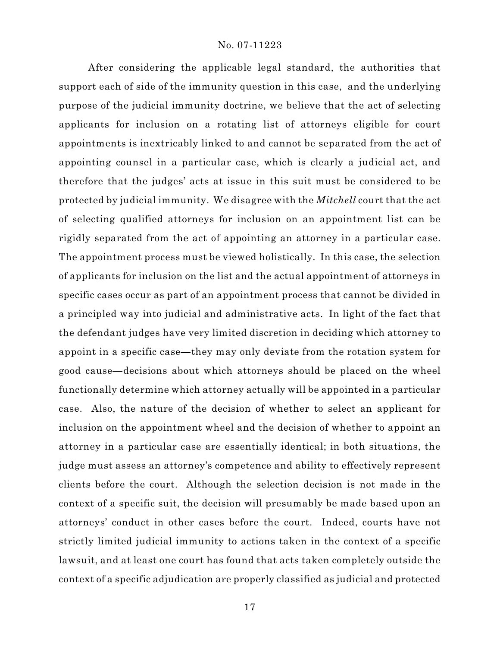After considering the applicable legal standard, the authorities that support each of side of the immunity question in this case, and the underlying purpose of the judicial immunity doctrine, we believe that the act of selecting applicants for inclusion on a rotating list of attorneys eligible for court appointments is inextricably linked to and cannot be separated from the act of appointing counsel in a particular case, which is clearly a judicial act, and therefore that the judges' acts at issue in this suit must be considered to be protected by judicial immunity. We disagree with the *Mitchell* court that the act of selecting qualified attorneys for inclusion on an appointment list can be rigidly separated from the act of appointing an attorney in a particular case. The appointment process must be viewed holistically. In this case, the selection of applicants for inclusion on the list and the actual appointment of attorneys in specific cases occur as part of an appointment process that cannot be divided in a principled way into judicial and administrative acts. In light of the fact that the defendant judges have very limited discretion in deciding which attorney to appoint in a specific case—they may only deviate from the rotation system for good cause—decisions about which attorneys should be placed on the wheel functionally determine which attorney actually will be appointed in a particular case. Also, the nature of the decision of whether to select an applicant for inclusion on the appointment wheel and the decision of whether to appoint an attorney in a particular case are essentially identical; in both situations, the judge must assess an attorney's competence and ability to effectively represent clients before the court. Although the selection decision is not made in the context of a specific suit, the decision will presumably be made based upon an attorneys' conduct in other cases before the court. Indeed, courts have not strictly limited judicial immunity to actions taken in the context of a specific lawsuit, and at least one court has found that acts taken completely outside the context of a specific adjudication are properly classified as judicial and protected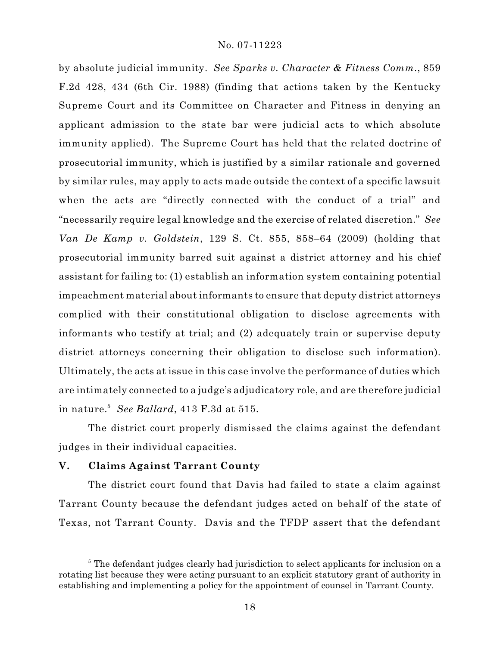by absolute judicial immunity. *See Sparks v. Character & Fitness Comm.*, 859 F.2d 428, 434 (6th Cir. 1988) (finding that actions taken by the Kentucky Supreme Court and its Committee on Character and Fitness in denying an applicant admission to the state bar were judicial acts to which absolute immunity applied). The Supreme Court has held that the related doctrine of prosecutorial immunity, which is justified by a similar rationale and governed by similar rules, may apply to acts made outside the context of a specific lawsuit when the acts are "directly connected with the conduct of a trial" and "necessarily require legal knowledge and the exercise of related discretion." *See Van De Kamp v. Goldstein*, 129 S. Ct. 855, 858–64 (2009) (holding that prosecutorial immunity barred suit against a district attorney and his chief assistant for failing to: (1) establish an information system containing potential impeachment material about informants to ensure that deputy district attorneys complied with their constitutional obligation to disclose agreements with informants who testify at trial; and (2) adequately train or supervise deputy district attorneys concerning their obligation to disclose such information). Ultimately, the acts at issue in this case involve the performance of duties which are intimately connected to a judge's adjudicatory role, and are therefore judicial in nature. *See Ballard*, 413 F.3d at 515. 5

The district court properly dismissed the claims against the defendant judges in their individual capacities.

### **V. Claims Against Tarrant County**

The district court found that Davis had failed to state a claim against Tarrant County because the defendant judges acted on behalf of the state of Texas, not Tarrant County. Davis and the TFDP assert that the defendant

<sup>&</sup>lt;sup>5</sup> The defendant judges clearly had jurisdiction to select applicants for inclusion on a rotating list because they were acting pursuant to an explicit statutory grant of authority in establishing and implementing a policy for the appointment of counsel in Tarrant County.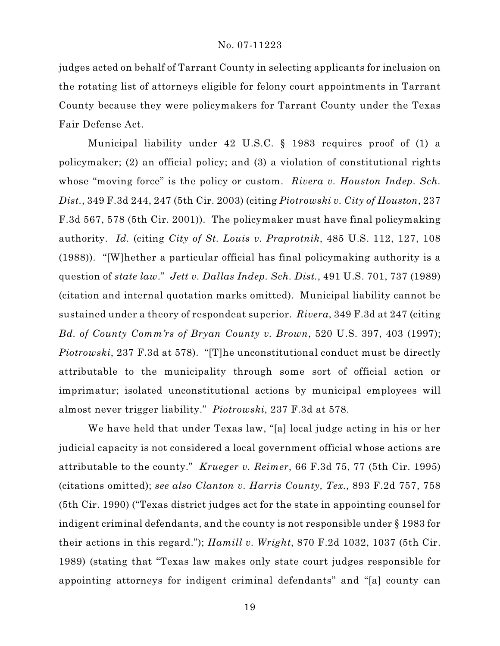judges acted on behalf of Tarrant County in selecting applicants for inclusion on the rotating list of attorneys eligible for felony court appointments in Tarrant County because they were policymakers for Tarrant County under the Texas Fair Defense Act.

Municipal liability under 42 U.S.C. § 1983 requires proof of (1) a policymaker; (2) an official policy; and (3) a violation of constitutional rights whose "moving force" is the policy or custom. *Rivera v. Houston Indep. Sch. Dist.*, 349 F.3d 244, 247 (5th Cir. 2003) (citing *Piotrowski v. City of Houston*, 237 F.3d 567, 578 (5th Cir. 2001)). The policymaker must have final policymaking authority. *Id.* (citing *City of St. Louis v. Praprotnik*, 485 U.S. 112, 127, 108 (1988)). "[W]hether a particular official has final policymaking authority is a question of *state law*." *Jett v. Dallas Indep. Sch. Dist.*, 491 U.S. 701, 737 (1989) (citation and internal quotation marks omitted). Municipal liability cannot be sustained under a theory of respondeat superior. *Rivera*, 349 F.3d at 247 (citing *Bd. of County Comm'rs of Bryan County v. Brown*, 520 U.S. 397, 403 (1997); *Piotrowski*, 237 F.3d at 578). "[T]he unconstitutional conduct must be directly attributable to the municipality through some sort of official action or imprimatur; isolated unconstitutional actions by municipal employees will almost never trigger liability." *Piotrowski*, 237 F.3d at 578.

We have held that under Texas law, "[a] local judge acting in his or her judicial capacity is not considered a local government official whose actions are attributable to the county." *Krueger v. Reimer*, 66 F.3d 75, 77 (5th Cir. 1995) (citations omitted); *see also Clanton v. Harris County, Tex.*, 893 F.2d 757, 758 (5th Cir. 1990) ("Texas district judges act for the state in appointing counsel for indigent criminal defendants, and the county is not responsible under § 1983 for their actions in this regard."); *Hamill v. Wright*, 870 F.2d 1032, 1037 (5th Cir. 1989) (stating that "Texas law makes only state court judges responsible for appointing attorneys for indigent criminal defendants" and "[a] county can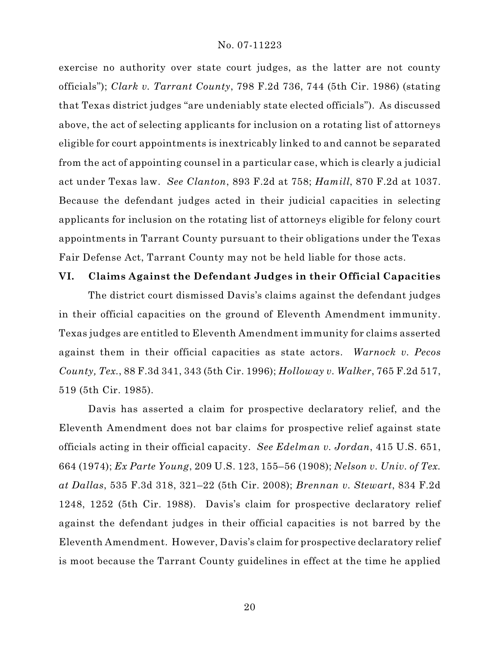exercise no authority over state court judges, as the latter are not county officials"); *Clark v. Tarrant County*, 798 F.2d 736, 744 (5th Cir. 1986) (stating that Texas district judges "are undeniably state elected officials"). As discussed above, the act of selecting applicants for inclusion on a rotating list of attorneys eligible for court appointments is inextricably linked to and cannot be separated from the act of appointing counsel in a particular case, which is clearly a judicial act under Texas law. *See Clanton*, 893 F.2d at 758; *Hamill*, 870 F.2d at 1037. Because the defendant judges acted in their judicial capacities in selecting applicants for inclusion on the rotating list of attorneys eligible for felony court appointments in Tarrant County pursuant to their obligations under the Texas Fair Defense Act, Tarrant County may not be held liable for those acts.

#### **VI. Claims Against the Defendant Judges in their Official Capacities**

The district court dismissed Davis's claims against the defendant judges in their official capacities on the ground of Eleventh Amendment immunity. Texas judges are entitled to Eleventh Amendment immunity for claims asserted against them in their official capacities as state actors. *Warnock v. Pecos County, Tex.*, 88 F.3d 341, 343 (5th Cir. 1996); *Holloway v. Walker*, 765 F.2d 517, 519 (5th Cir. 1985).

Davis has asserted a claim for prospective declaratory relief, and the Eleventh Amendment does not bar claims for prospective relief against state officials acting in their official capacity. *See Edelman v. Jordan*, 415 U.S. 651, 664 (1974); *Ex Parte Young*, 209 U.S. 123, 155–56 (1908); *Nelson v. Univ. of Tex. at Dallas*, 535 F.3d 318, 321–22 (5th Cir. 2008); *Brennan v. Stewart*, 834 F.2d 1248, 1252 (5th Cir. 1988). Davis's claim for prospective declaratory relief against the defendant judges in their official capacities is not barred by the Eleventh Amendment. However, Davis's claim for prospective declaratory relief is moot because the Tarrant County guidelines in effect at the time he applied